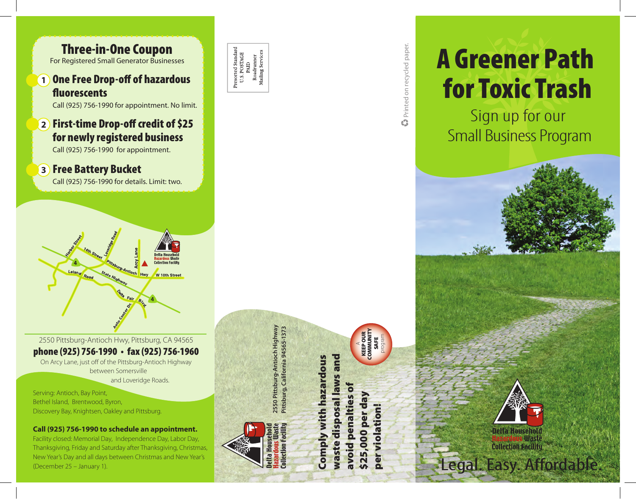

phone (925) 756-1990 • fax (925) 756-1960

On Arcy Lane, just off of the Pittsburg-Antioch Highway between Somersville and Loveridge Roads.

Serving: Antioch, Bay Point, Bethel Island, Brentwood, Byron, Discovery Bay, Knightsen, Oakley and Pittsburg.

**Call (925) 756-1990 to schedule an appointment.**

Facility closed: Memorial Day, Independence Day, Labor Day, Thanksgiving, Friday and Saturday after Thanksgiving, Christmas, New Year's Day and all days between Christmas and New Year's (December 25 – January 1).



**2550 Pittsburg-Antioch Highway** 2550 Pittsburg-Antioch Highway Pittsburg, California 94565-1373 Collection Facili elta House

**Pittsburg, California 94565-1373**

waste disposal laws and Comply with hazardous laws and **Comply with hazardous** avoid penalties of avoid penalties **Maste disposal** \$25,000

AKEEP OUR SAFE program

> \$25,000 per day per violation!

ber violation!

per d

6



**COMMUNITY** 



Printed on recycled paper. Printed on recycled paper.

# A Greener Path for Toxic Trash

Sign up for our Small Business Program